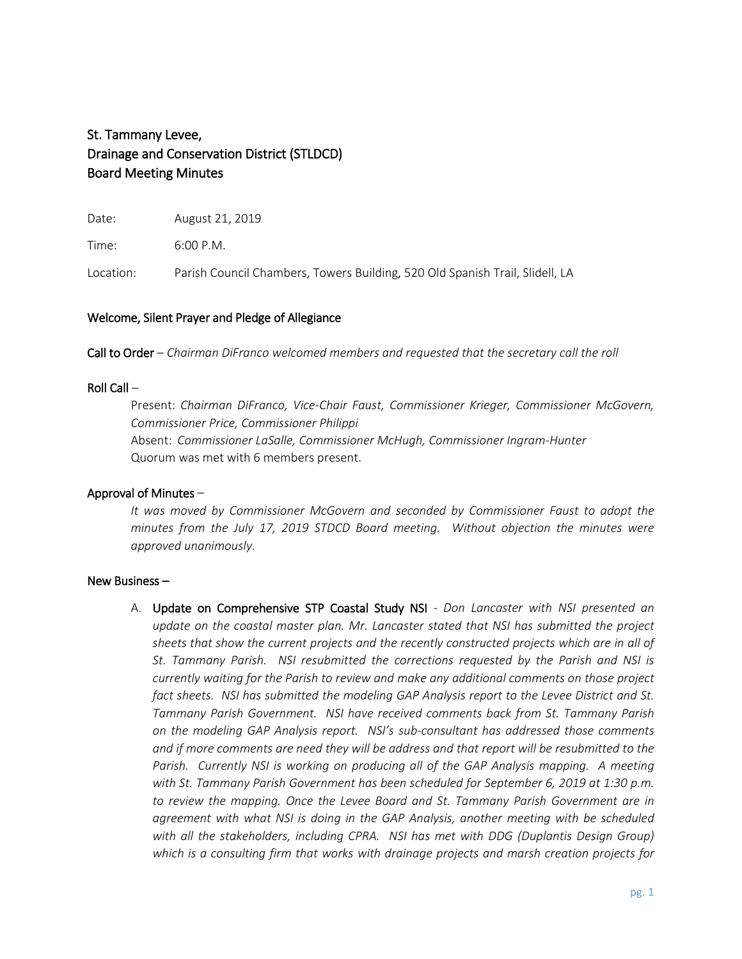# St. Tammany Levee, Drainage and Conservation District (STLDCD) Board Meeting Minutes

Date: August 21, 2019

Time: 6:00 P.M.

Location: Parish Council Chambers, Towers Building, 520 Old Spanish Trail, Slidell, LA

### Welcome, Silent Prayer and Pledge of Allegiance

Call to Order – *Chairman DiFranco welcomed members and requested that the secretary call the roll*

### Roll Call –

Present: *Chairman DiFranco, Vice-Chair Faust, Commissioner Krieger, Commissioner McGovern, Commissioner Price, Commissioner Philippi* Absent: *Commissioner LaSalle, Commissioner McHugh, Commissioner Ingram-Hunter* Quorum was met with 6 members present.

## Approval of Minutes –

*It was moved by Commissioner McGovern and seconded by Commissioner Faust to adopt the minutes from the July 17, 2019 STDCD Board meeting. Without objection the minutes were approved unanimously*.

#### New Business –

A. Update on Comprehensive STP Coastal Study NSI - *Don Lancaster with NSI presented an update on the coastal master plan. Mr. Lancaster stated that NSI has submitted the project sheets that show the current projects and the recently constructed projects which are in all of St. Tammany Parish. NSI resubmitted the corrections requested by the Parish and NSI is currently waiting for the Parish to review and make any additional comments on those project fact sheets. NSI has submitted the modeling GAP Analysis report to the Levee District and St. Tammany Parish Government. NSI have received comments back from St. Tammany Parish on the modeling GAP Analysis report. NSI's sub-consultant has addressed those comments and if more comments are need they will be address and that report will be resubmitted to the*  Parish. Currently NSI is working on producing all of the GAP Analysis mapping. A meeting *with St. Tammany Parish Government has been scheduled for September 6, 2019 at 1:30 p.m. to review the mapping. Once the Levee Board and St. Tammany Parish Government are in agreement with what NSI is doing in the GAP Analysis, another meeting with be scheduled with all the stakeholders, including CPRA. NSI has met with DDG (Duplantis Design Group) which is a consulting firm that works with drainage projects and marsh creation projects for*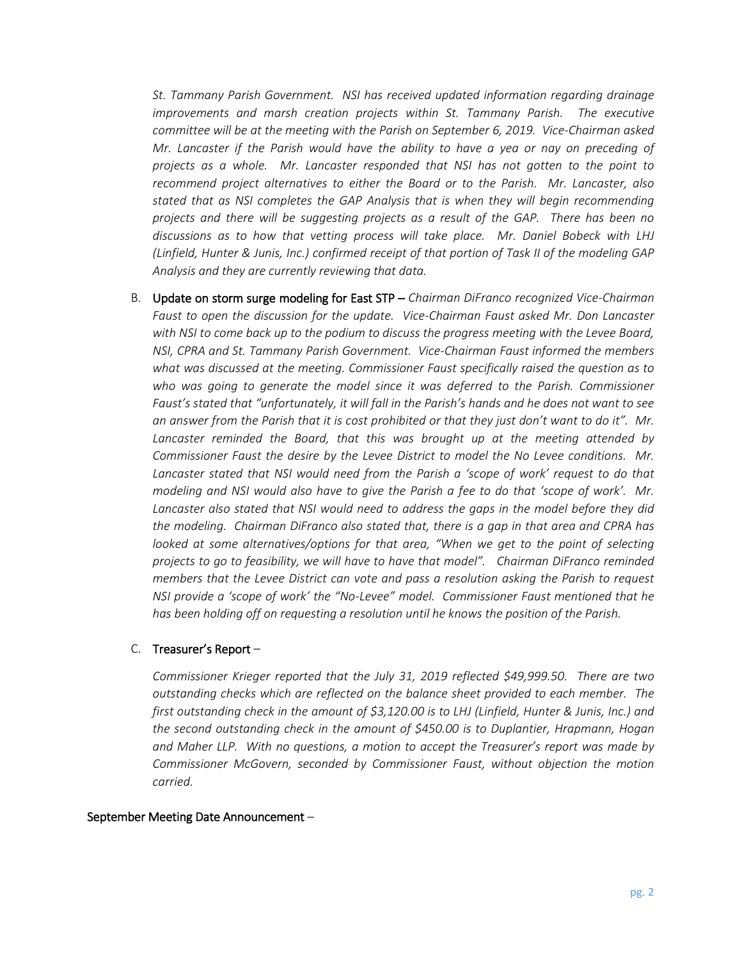*St. Tammany Parish Government. NSI has received updated information regarding drainage improvements and marsh creation projects within St. Tammany Parish. The executive committee will be at the meeting with the Parish on September 6, 2019. Vice-Chairman asked Mr. Lancaster if the Parish would have the ability to have a yea or nay on preceding of projects as a whole. Mr. Lancaster responded that NSI has not gotten to the point to recommend project alternatives to either the Board or to the Parish. Mr. Lancaster, also stated that as NSI completes the GAP Analysis that is when they will begin recommending projects and there will be suggesting projects as a result of the GAP. There has been no discussions as to how that vetting process will take place. Mr. Daniel Bobeck with LHJ (Linfield, Hunter & Junis, Inc.) confirmed receipt of that portion of Task II of the modeling GAP Analysis and they are currently reviewing that data.*

B. Update on storm surge modeling for East STP – *Chairman DiFranco recognized Vice-Chairman Faust to open the discussion for the update. Vice-Chairman Faust asked Mr. Don Lancaster*  with NSI to come back up to the podium to discuss the progress meeting with the Levee Board, *NSI, CPRA and St. Tammany Parish Government. Vice-Chairman Faust informed the members what was discussed at the meeting. Commissioner Faust specifically raised the question as to who was going to generate the model since it was deferred to the Parish. Commissioner Faust's stated that "unfortunately, it will fall in the Parish's hands and he does not want to see an answer from the Parish that it is cost prohibited or that they just don't want to do it". Mr. Lancaster reminded the Board, that this was brought up at the meeting attended by Commissioner Faust the desire by the Levee District to model the No Levee conditions. Mr. Lancaster stated that NSI would need from the Parish a 'scope of work' request to do that modeling and NSI would also have to give the Parish a fee to do that 'scope of work'. Mr. Lancaster also stated that NSI would need to address the gaps in the model before they did the modeling. Chairman DiFranco also stated that, there is a gap in that area and CPRA has looked at some alternatives/options for that area, "When we get to the point of selecting projects to go to feasibility, we will have to have that model". Chairman DiFranco reminded members that the Levee District can vote and pass a resolution asking the Parish to request NSI provide a 'scope of work' the "No-Levee" model. Commissioner Faust mentioned that he has been holding off on requesting a resolution until he knows the position of the Parish.*

## C. Treasurer's Report –

*Commissioner Krieger reported that the July 31, 2019 reflected \$49,999.50. There are two outstanding checks which are reflected on the balance sheet provided to each member. The first outstanding check in the amount of \$3,120.00 is to LHJ (Linfield, Hunter & Junis, Inc.) and the second outstanding check in the amount of \$450.00 is to Duplantier, Hrapmann, Hogan and Maher LLP. With no questions, a motion to accept the Treasurer's report was made by Commissioner McGovern, seconded by Commissioner Faust, without objection the motion carried.*

#### September Meeting Date Announcement –